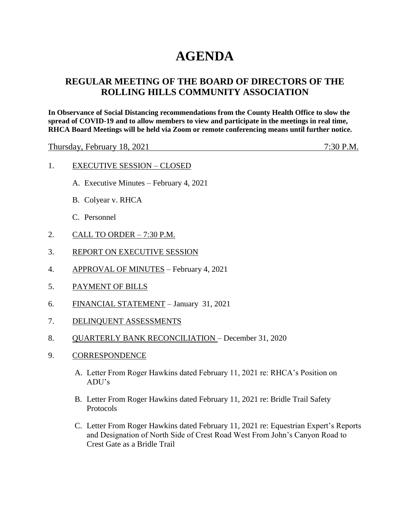# **AGENDA**

## **REGULAR MEETING OF THE BOARD OF DIRECTORS OF THE ROLLING HILLS COMMUNITY ASSOCIATION**

**In Observance of Social Distancing recommendations from the County Health Office to slow the spread of COVID-19 and to allow members to view and participate in the meetings in real time, RHCA Board Meetings will be held via Zoom or remote conferencing means until further notice.** 

Thursday, February 18, 2021 7:30 P.M.

- 1. EXECUTIVE SESSION CLOSED
	- A. Executive Minutes February 4, 2021
	- B. Colyear v. RHCA
	- C. Personnel
- 2. CALL TO ORDER 7:30 P.M.
- 3. REPORT ON EXECUTIVE SESSION
- 4. APPROVAL OF MINUTES February 4, 2021
- 5. PAYMENT OF BILLS
- 6. FINANCIAL STATEMENT January 31, 2021
- 7. DELINQUENT ASSESSMENTS
- 8. QUARTERLY BANK RECONCILIATION December 31, 2020
- 9. CORRESPONDENCE
	- A. Letter From Roger Hawkins dated February 11, 2021 re: RHCA's Position on ADU's
	- B. Letter From Roger Hawkins dated February 11, 2021 re: Bridle Trail Safety Protocols
	- C. Letter From Roger Hawkins dated February 11, 2021 re: Equestrian Expert's Reports and Designation of North Side of Crest Road West From John's Canyon Road to Crest Gate as a Bridle Trail